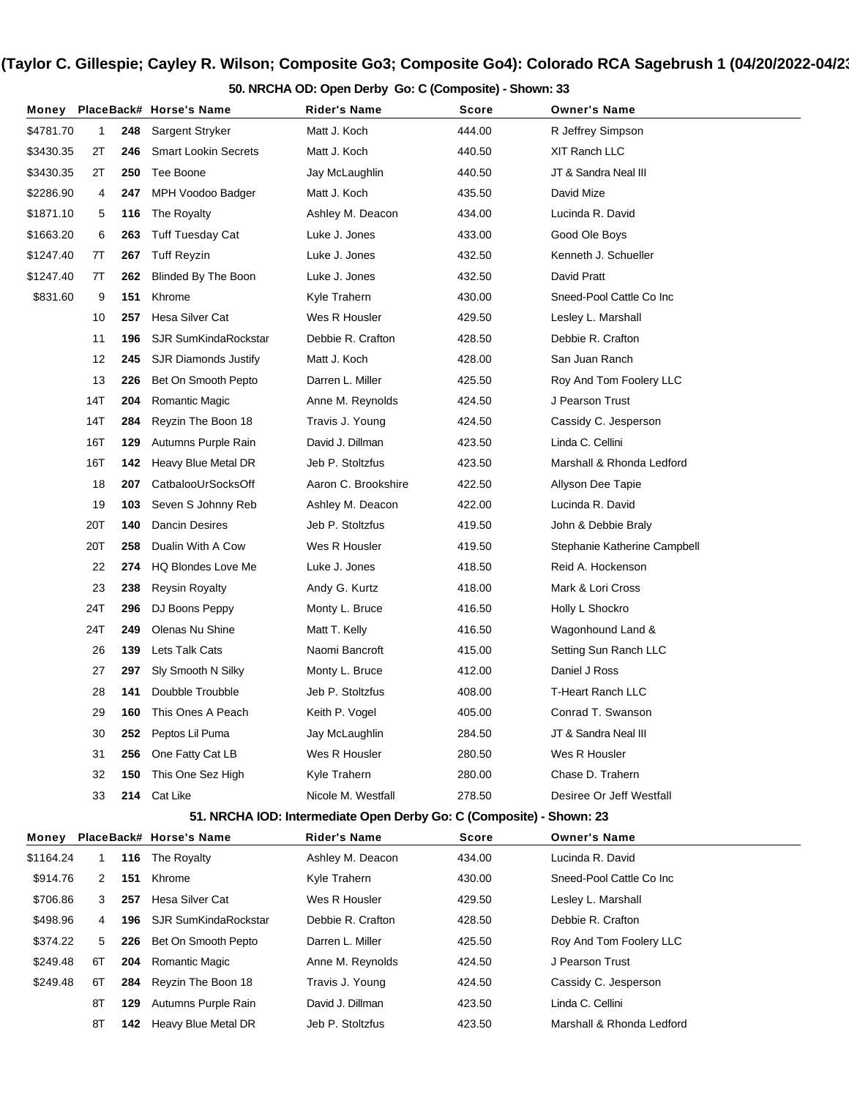**50. NRCHA OD: Open Derby Go: C (Composite) - Shown: 33**

| Money     |     |     | PlaceBack# Horse's Name     | Rider's Name                                                         | Score  | <b>Owner's Name</b>          |
|-----------|-----|-----|-----------------------------|----------------------------------------------------------------------|--------|------------------------------|
| \$4781.70 | 1   | 248 | Sargent Stryker             | Matt J. Koch                                                         | 444.00 | R Jeffrey Simpson            |
| \$3430.35 | 2Τ  | 246 | <b>Smart Lookin Secrets</b> | Matt J. Koch                                                         | 440.50 | XIT Ranch LLC                |
| \$3430.35 | 2Τ  | 250 | Tee Boone                   | Jay McLaughlin                                                       | 440.50 | JT & Sandra Neal III         |
| \$2286.90 | 4   | 247 | MPH Voodoo Badger           | Matt J. Koch                                                         | 435.50 | David Mize                   |
| \$1871.10 | 5   | 116 | The Royalty                 | Ashley M. Deacon                                                     | 434.00 | Lucinda R. David             |
| \$1663.20 | 6   | 263 | <b>Tuff Tuesday Cat</b>     | Luke J. Jones                                                        | 433.00 | Good Ole Boys                |
| \$1247.40 | 7T  | 267 | <b>Tuff Reyzin</b>          | Luke J. Jones                                                        | 432.50 | Kenneth J. Schueller         |
| \$1247.40 | 7T  | 262 | Blinded By The Boon         | Luke J. Jones                                                        | 432.50 | David Pratt                  |
| \$831.60  | 9   | 151 | Khrome                      | Kyle Trahern                                                         | 430.00 | Sneed-Pool Cattle Co Inc     |
|           | 10  | 257 | Hesa Silver Cat             | Wes R Housler                                                        | 429.50 | Lesley L. Marshall           |
|           | 11  | 196 | <b>SJR SumKindaRockstar</b> | Debbie R. Crafton                                                    | 428.50 | Debbie R. Crafton            |
|           | 12  | 245 | <b>SJR Diamonds Justify</b> | Matt J. Koch                                                         | 428.00 | San Juan Ranch               |
|           | 13  | 226 | Bet On Smooth Pepto         | Darren L. Miller                                                     | 425.50 | Roy And Tom Foolery LLC      |
|           | 14T | 204 | Romantic Magic              | Anne M. Reynolds                                                     | 424.50 | J Pearson Trust              |
|           | 14T | 284 | Reyzin The Boon 18          | Travis J. Young                                                      | 424.50 | Cassidy C. Jesperson         |
|           | 16T | 129 | Autumns Purple Rain         | David J. Dillman                                                     | 423.50 | Linda C. Cellini             |
|           | 16T | 142 | Heavy Blue Metal DR         | Jeb P. Stoltzfus                                                     | 423.50 | Marshall & Rhonda Ledford    |
|           | 18  | 207 | CatbalooUrSocksOff          | Aaron C. Brookshire                                                  | 422.50 | Allyson Dee Tapie            |
|           | 19  | 103 | Seven S Johnny Reb          | Ashley M. Deacon                                                     | 422.00 | Lucinda R. David             |
|           | 20T | 140 | <b>Dancin Desires</b>       | Jeb P. Stoltzfus                                                     | 419.50 | John & Debbie Braly          |
|           | 20T | 258 | Dualin With A Cow           | Wes R Housler                                                        | 419.50 | Stephanie Katherine Campbell |
|           | 22  | 274 | <b>HQ Blondes Love Me</b>   | Luke J. Jones                                                        | 418.50 | Reid A. Hockenson            |
|           | 23  | 238 | <b>Reysin Royalty</b>       | Andy G. Kurtz                                                        | 418.00 | Mark & Lori Cross            |
|           | 24T | 296 | DJ Boons Peppy              | Monty L. Bruce                                                       | 416.50 | Holly L Shockro              |
|           | 24T | 249 | Olenas Nu Shine             | Matt T. Kelly                                                        | 416.50 | Wagonhound Land &            |
|           | 26  | 139 | Lets Talk Cats              | Naomi Bancroft                                                       | 415.00 | Setting Sun Ranch LLC        |
|           | 27  | 297 | Sly Smooth N Silky          | Monty L. Bruce                                                       | 412.00 | Daniel J Ross                |
|           | 28  | 141 | Doubble Troubble            | Jeb P. Stoltzfus                                                     | 408.00 | <b>T-Heart Ranch LLC</b>     |
|           | 29  | 160 | This Ones A Peach           | Keith P. Vogel                                                       | 405.00 | Conrad T. Swanson            |
|           | 30  | 252 | Peptos Lil Puma             | Jay McLaughlin                                                       | 284.50 | JT & Sandra Neal III         |
|           | 31  | 256 | One Fatty Cat LB            | Wes R Housler                                                        | 280.50 | Wes R Housler                |
|           | 32  | 150 | This One Sez High           | Kyle Trahern                                                         | 280.00 | Chase D. Trahern             |
|           | 33  | 214 | Cat Like                    | Nicole M. Westfall                                                   | 278.50 | Desiree Or Jeff Westfall     |
|           |     |     |                             | 51. NRCHA IOD: Intermediate Open Derby Go: C (Composite) - Shown: 23 |        |                              |
| Money     |     |     | PlaceBack# Horse's Name     | <b>Rider's Name</b>                                                  | Score  | <b>Owner's Name</b>          |
| \$1164.24 | 1   | 116 | The Royalty                 | Ashley M. Deacon                                                     | 434.00 | Lucinda R. David             |
| \$914.76  | 2   | 151 | Khrome                      | Kyle Trahern                                                         | 430.00 | Sneed-Pool Cattle Co Inc     |
| \$706.86  | 3   | 257 | Hesa Silver Cat             | Wes R Housler                                                        | 429.50 | Lesley L. Marshall           |
| \$498.96  | 4   | 196 | <b>SJR SumKindaRockstar</b> | Debbie R. Crafton                                                    | 428.50 | Debbie R. Crafton            |
| \$374.22  | 5   | 226 | Bet On Smooth Pepto         | Darren L. Miller                                                     | 425.50 | Roy And Tom Foolery LLC      |
| \$249.48  | 6T  | 204 | Romantic Magic              | Anne M. Reynolds                                                     | 424.50 | J Pearson Trust              |
| \$249.48  | 6T  | 284 | Reyzin The Boon 18          | Travis J. Young                                                      | 424.50 | Cassidy C. Jesperson         |
|           | 8Τ  | 129 | Autumns Purple Rain         | David J. Dillman                                                     | 423.50 | Linda C. Cellini             |
|           | 8Τ  | 142 | Heavy Blue Metal DR         | Jeb P. Stoltzfus                                                     | 423.50 | Marshall & Rhonda Ledford    |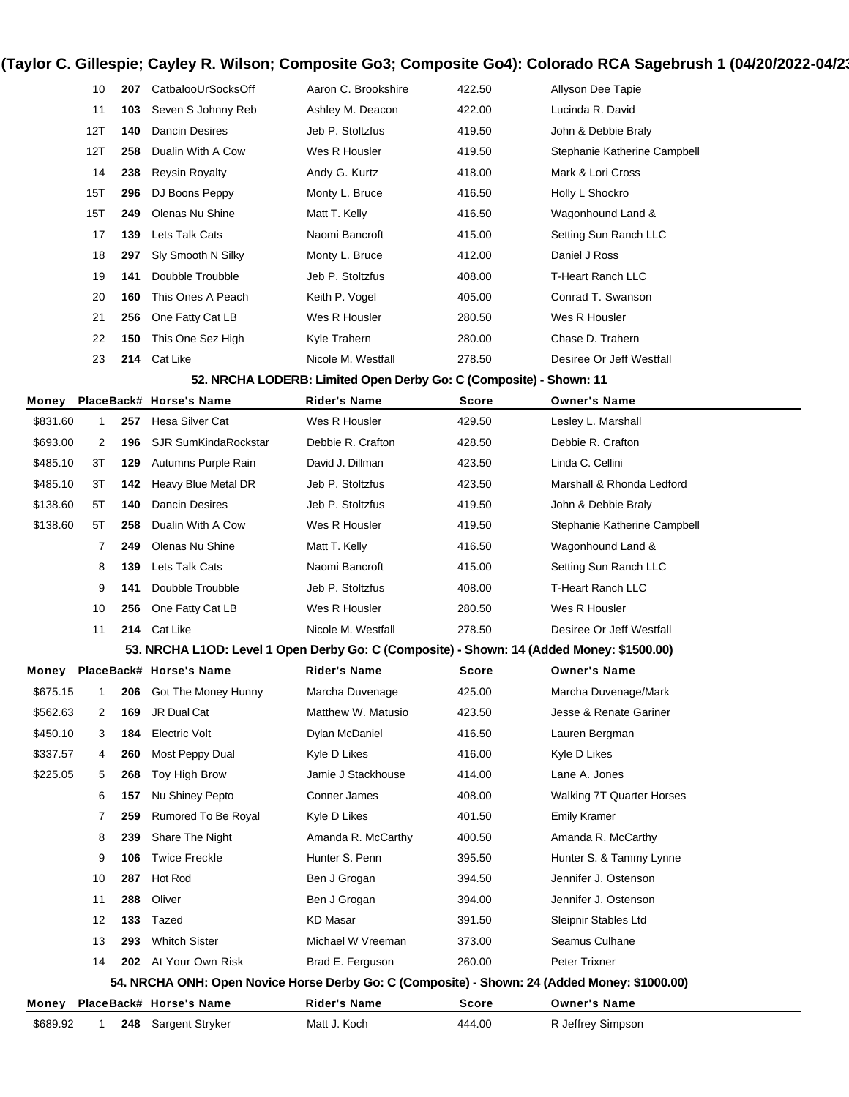| 10  | 207 | CatbalooUrSocksOff    | Aaron C. Brookshire | 422.50 | Allyson Dee Tapie            |
|-----|-----|-----------------------|---------------------|--------|------------------------------|
| 11  | 103 | Seven S Johnny Reb    | Ashley M. Deacon    | 422.00 | Lucinda R. David             |
| 12T | 140 | <b>Dancin Desires</b> | Jeb P. Stoltzfus    | 419.50 | John & Debbie Braly          |
| 12T | 258 | Dualin With A Cow     | Wes R Housler       | 419.50 | Stephanie Katherine Campbell |
| 14  | 238 | <b>Reysin Royalty</b> | Andy G. Kurtz       | 418.00 | Mark & Lori Cross            |
| 15T | 296 | DJ Boons Peppy        | Monty L. Bruce      | 416.50 | Holly L Shockro              |
| 15T | 249 | Olenas Nu Shine       | Matt T. Kelly       | 416.50 | Wagonhound Land &            |
| 17  | 139 | Lets Talk Cats        | Naomi Bancroft      | 415.00 | Setting Sun Ranch LLC        |
| 18  | 297 | Sly Smooth N Silky    | Monty L. Bruce      | 412.00 | Daniel J Ross                |
| 19  | 141 | Doubble Troubble      | Jeb P. Stoltzfus    | 408.00 | T-Heart Ranch LLC            |
| 20  | 160 | This Ones A Peach     | Keith P. Vogel      | 405.00 | Conrad T. Swanson            |
| 21  | 256 | One Fatty Cat LB      | Wes R Housler       | 280.50 | Wes R Housler                |
| 22  | 150 | This One Sez High     | Kyle Trahern        | 280.00 | Chase D. Trahern             |
| 23  | 214 | Cat Like              | Nicole M. Westfall  | 278.50 | Desiree Or Jeff Westfall     |

#### **52. NRCHA LODERB: Limited Open Derby Go: C (Composite) - Shown: 11**

| Money    |    |     | PlaceBack# Horse's Name | <b>Rider's Name</b> | <b>Score</b> | <b>Owner's Name</b>          |
|----------|----|-----|-------------------------|---------------------|--------------|------------------------------|
| \$831.60 |    | 257 | Hesa Silver Cat         | Wes R Housler       | 429.50       | Lesley L. Marshall           |
| \$693.00 | 2  | 196 | SJR SumKindaRockstar    | Debbie R. Crafton   | 428.50       | Debbie R. Crafton            |
| \$485.10 | 3T | 129 | Autumns Purple Rain     | David J. Dillman    | 423.50       | Linda C. Cellini             |
| \$485.10 | 3T | 142 | Heavy Blue Metal DR     | Jeb P. Stoltzfus    | 423.50       | Marshall & Rhonda Ledford    |
| \$138.60 | 5T | 140 | Dancin Desires          | Jeb P. Stoltzfus    | 419.50       | John & Debbie Braly          |
| \$138.60 | 5T | 258 | Dualin With A Cow       | Wes R Housler       | 419.50       | Stephanie Katherine Campbell |
|          |    | 249 | Olenas Nu Shine         | Matt T. Kelly       | 416.50       | Wagonhound Land &            |
|          | 8  | 139 | Lets Talk Cats          | Naomi Bancroft      | 415.00       | Setting Sun Ranch LLC        |
|          | 9  | 141 | Doubble Troubble        | Jeb P. Stoltzfus    | 408.00       | T-Heart Ranch LLC            |
|          | 10 | 256 | One Fatty Cat LB        | Wes R Housler       | 280.50       | Wes R Housler                |
|          | 11 |     | 214 Cat Like            | Nicole M. Westfall  | 278.50       | Desiree Or Jeff Westfall     |

#### **53. NRCHA L1OD: Level 1 Open Derby Go: C (Composite) - Shown: 14 (Added Money: \$1500.00)**

| Money    |    |     | PlaceBack# Horse's Name | <b>Rider's Name</b> | Score  | <b>Owner's Name</b>                                                                           |  |
|----------|----|-----|-------------------------|---------------------|--------|-----------------------------------------------------------------------------------------------|--|
| \$675.15 |    | 206 | Got The Money Hunny     | Marcha Duvenage     | 425.00 | Marcha Duvenage/Mark                                                                          |  |
| \$562.63 | 2  | 169 | JR Dual Cat             | Matthew W. Matusio  | 423.50 | Jesse & Renate Gariner                                                                        |  |
| \$450.10 | 3  | 184 | Electric Volt           | Dylan McDaniel      | 416.50 | Lauren Bergman                                                                                |  |
| \$337.57 | 4  | 260 | Most Peppy Dual         | Kyle D Likes        | 416.00 | Kyle D Likes                                                                                  |  |
| \$225.05 | 5  | 268 | Toy High Brow           | Jamie J Stackhouse  | 414.00 | Lane A. Jones                                                                                 |  |
|          | 6  | 157 | Nu Shiney Pepto         | Conner James        | 408.00 | Walking 7T Quarter Horses                                                                     |  |
|          |    | 259 | Rumored To Be Royal     | Kyle D Likes        | 401.50 | <b>Emily Kramer</b>                                                                           |  |
|          | 8  | 239 | Share The Night         | Amanda R. McCarthy  | 400.50 | Amanda R. McCarthy                                                                            |  |
|          | 9  | 106 | <b>Twice Freckle</b>    | Hunter S. Penn      | 395.50 | Hunter S. & Tammy Lynne                                                                       |  |
|          | 10 | 287 | Hot Rod                 | Ben J Grogan        | 394.50 | Jennifer J. Ostenson                                                                          |  |
|          | 11 | 288 | Oliver                  | Ben J Grogan        | 394.00 | Jennifer J. Ostenson                                                                          |  |
|          | 12 | 133 | Tazed                   | <b>KD Masar</b>     | 391.50 | Sleipnir Stables Ltd                                                                          |  |
|          | 13 | 293 | <b>Whitch Sister</b>    | Michael W Vreeman   | 373.00 | Seamus Culhane                                                                                |  |
|          | 14 | 202 | At Your Own Risk        | Brad E. Ferguson    | 260.00 | Peter Trixner                                                                                 |  |
|          |    |     |                         |                     |        | 54. NRCHA ONH: Open Novice Horse Derby Go: C (Composite) - Shown: 24 (Added Money: \$1000.00) |  |
| Money    |    |     | PlaceBack# Horse's Name | <b>Rider's Name</b> | Score  | <b>Owner's Name</b>                                                                           |  |
| \$689.92 |    | 248 | Sargent Stryker         | Matt J. Koch        | 444.00 | R Jeffrey Simpson                                                                             |  |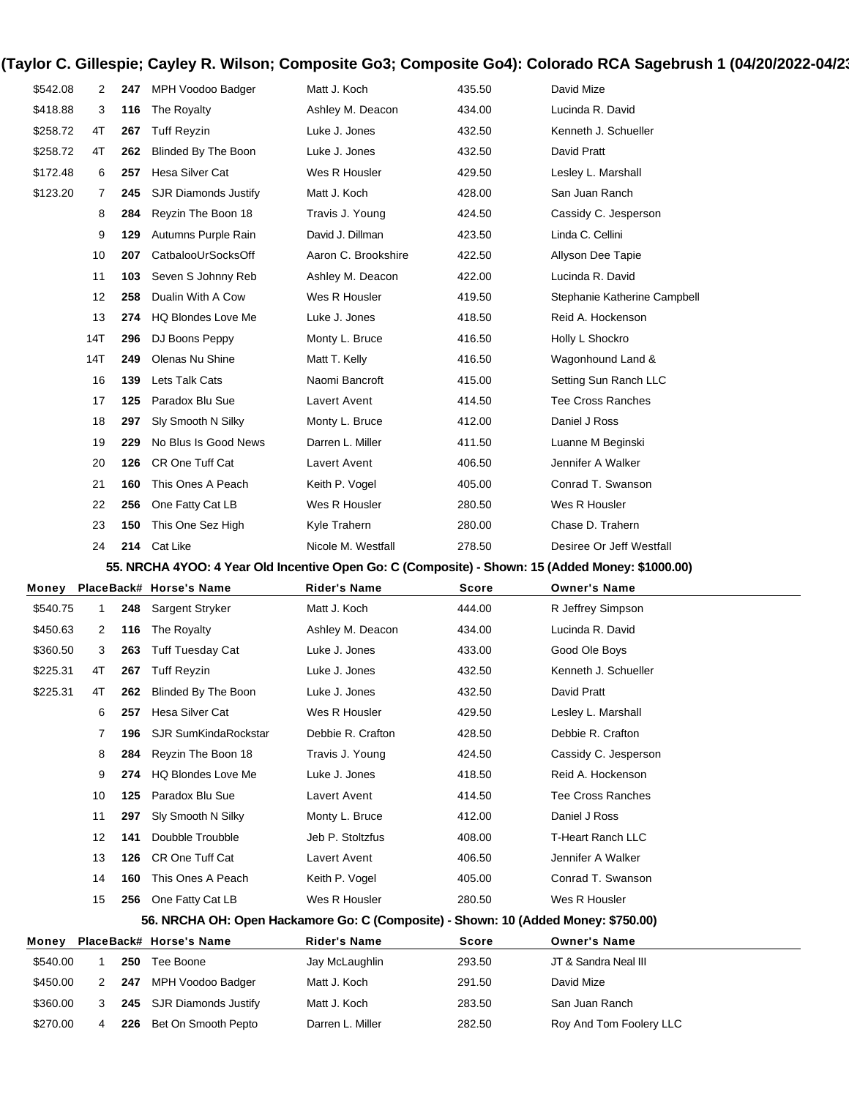| \$542.08 | 2            | 247 | MPH Voodoo Badger                                                                                | Matt J. Koch        | 435.50 | David Mize                   |
|----------|--------------|-----|--------------------------------------------------------------------------------------------------|---------------------|--------|------------------------------|
| \$418.88 | 3            | 116 | The Royalty                                                                                      | Ashley M. Deacon    | 434.00 | Lucinda R. David             |
| \$258.72 | 4T           | 267 | <b>Tuff Reyzin</b>                                                                               | Luke J. Jones       | 432.50 | Kenneth J. Schueller         |
| \$258.72 | 4T           | 262 | Blinded By The Boon                                                                              | Luke J. Jones       | 432.50 | David Pratt                  |
| \$172.48 | 6            | 257 | Hesa Silver Cat                                                                                  | Wes R Housler       | 429.50 | Lesley L. Marshall           |
| \$123.20 | 7            | 245 | <b>SJR Diamonds Justify</b>                                                                      | Matt J. Koch        | 428.00 | San Juan Ranch               |
|          | 8            | 284 | Reyzin The Boon 18                                                                               | Travis J. Young     | 424.50 | Cassidy C. Jesperson         |
|          | 9            | 129 | Autumns Purple Rain                                                                              | David J. Dillman    | 423.50 | Linda C. Cellini             |
|          | 10           | 207 | CatbalooUrSocksOff                                                                               | Aaron C. Brookshire | 422.50 | Allyson Dee Tapie            |
|          | 11           | 103 | Seven S Johnny Reb                                                                               | Ashley M. Deacon    | 422.00 | Lucinda R. David             |
|          | 12           | 258 | Dualin With A Cow                                                                                | Wes R Housler       | 419.50 | Stephanie Katherine Campbell |
|          | 13           | 274 | <b>HQ Blondes Love Me</b>                                                                        | Luke J. Jones       | 418.50 | Reid A. Hockenson            |
|          | 14T          | 296 | DJ Boons Peppy                                                                                   | Monty L. Bruce      | 416.50 | Holly L Shockro              |
|          | 14T          | 249 | Olenas Nu Shine                                                                                  | Matt T. Kelly       | 416.50 | Wagonhound Land &            |
|          | 16           | 139 | Lets Talk Cats                                                                                   | Naomi Bancroft      | 415.00 | Setting Sun Ranch LLC        |
|          | 17           | 125 | Paradox Blu Sue                                                                                  | Lavert Avent        | 414.50 | <b>Tee Cross Ranches</b>     |
|          | 18           | 297 | Sly Smooth N Silky                                                                               | Monty L. Bruce      | 412.00 | Daniel J Ross                |
|          | 19           | 229 | No Blus Is Good News                                                                             | Darren L. Miller    | 411.50 | Luanne M Beginski            |
|          | 20           | 126 | CR One Tuff Cat                                                                                  | Lavert Avent        | 406.50 | Jennifer A Walker            |
|          | 21           | 160 | This Ones A Peach                                                                                | Keith P. Vogel      | 405.00 | Conrad T. Swanson            |
|          | 22           | 256 | One Fatty Cat LB                                                                                 | Wes R Housler       | 280.50 | Wes R Housler                |
|          | 23           | 150 | This One Sez High                                                                                | Kyle Trahern        | 280.00 | Chase D. Trahern             |
|          | 24           | 214 | Cat Like                                                                                         | Nicole M. Westfall  | 278.50 | Desiree Or Jeff Westfall     |
|          |              |     |                                                                                                  |                     |        |                              |
|          |              |     | 55. NRCHA 4YOO: 4 Year Old Incentive Open Go: C (Composite) - Shown: 15 (Added Money: \$1000.00) |                     |        |                              |
| Money    |              |     | PlaceBack# Horse's Name                                                                          | <b>Rider's Name</b> | Score  | <b>Owner's Name</b>          |
| \$540.75 | 1            | 248 | Sargent Stryker                                                                                  | Matt J. Koch        | 444.00 | R Jeffrey Simpson            |
| \$450.63 | 2            | 116 | The Royalty                                                                                      | Ashley M. Deacon    | 434.00 | Lucinda R. David             |
| \$360.50 | 3            | 263 | <b>Tuff Tuesday Cat</b>                                                                          | Luke J. Jones       | 433.00 | Good Ole Boys                |
| \$225.31 | 4T           | 267 | <b>Tuff Reyzin</b>                                                                               | Luke J. Jones       | 432.50 | Kenneth J. Schueller         |
| \$225.31 | 4T           | 262 | <b>Blinded By The Boon</b>                                                                       | Luke J. Jones       | 432.50 | David Pratt                  |
|          | 6            | 257 | Hesa Silver Cat                                                                                  | Wes R Housler       | 429.50 | Lesley L. Marshall           |
|          | 7            | 196 | SJR SumKindaRockstar                                                                             | Debbie R. Crafton   | 428.50 | Debbie R. Crafton            |
|          | 8            | 284 | Reyzin The Boon 18                                                                               | Travis J. Young     | 424.50 | Cassidy C. Jesperson         |
|          | 9            | 274 | <b>HQ Blondes Love Me</b>                                                                        | Luke J. Jones       | 418.50 | Reid A. Hockenson            |
|          | 10           | 125 | Paradox Blu Sue                                                                                  | Lavert Avent        | 414.50 | <b>Tee Cross Ranches</b>     |
|          | 11           | 297 | Sly Smooth N Silky                                                                               | Monty L. Bruce      | 412.00 | Daniel J Ross                |
|          | 12           | 141 | Doubble Troubble                                                                                 | Jeb P. Stoltzfus    | 408.00 | <b>T-Heart Ranch LLC</b>     |
|          | 13           | 126 | CR One Tuff Cat                                                                                  | Lavert Avent        | 406.50 | Jennifer A Walker            |
|          | 14           | 160 | This Ones A Peach                                                                                | Keith P. Vogel      | 405.00 | Conrad T. Swanson            |
|          | 15           | 256 | One Fatty Cat LB                                                                                 | Wes R Housler       | 280.50 | Wes R Housler                |
|          |              |     | 56. NRCHA OH: Open Hackamore Go: C (Composite) - Shown: 10 (Added Money: \$750.00)               |                     |        |                              |
| Money    |              |     | PlaceBack# Horse's Name                                                                          | <b>Rider's Name</b> | Score  | <b>Owner's Name</b>          |
| \$540.00 | $\mathbf{1}$ | 250 | Tee Boone                                                                                        | Jay McLaughlin      | 293.50 | JT & Sandra Neal III         |
| \$450.00 | 2            | 247 | MPH Voodoo Badger                                                                                | Matt J. Koch        | 291.50 | David Mize                   |
| \$360.00 | 3            | 245 | <b>SJR Diamonds Justify</b>                                                                      | Matt J. Koch        | 283.50 | San Juan Ranch               |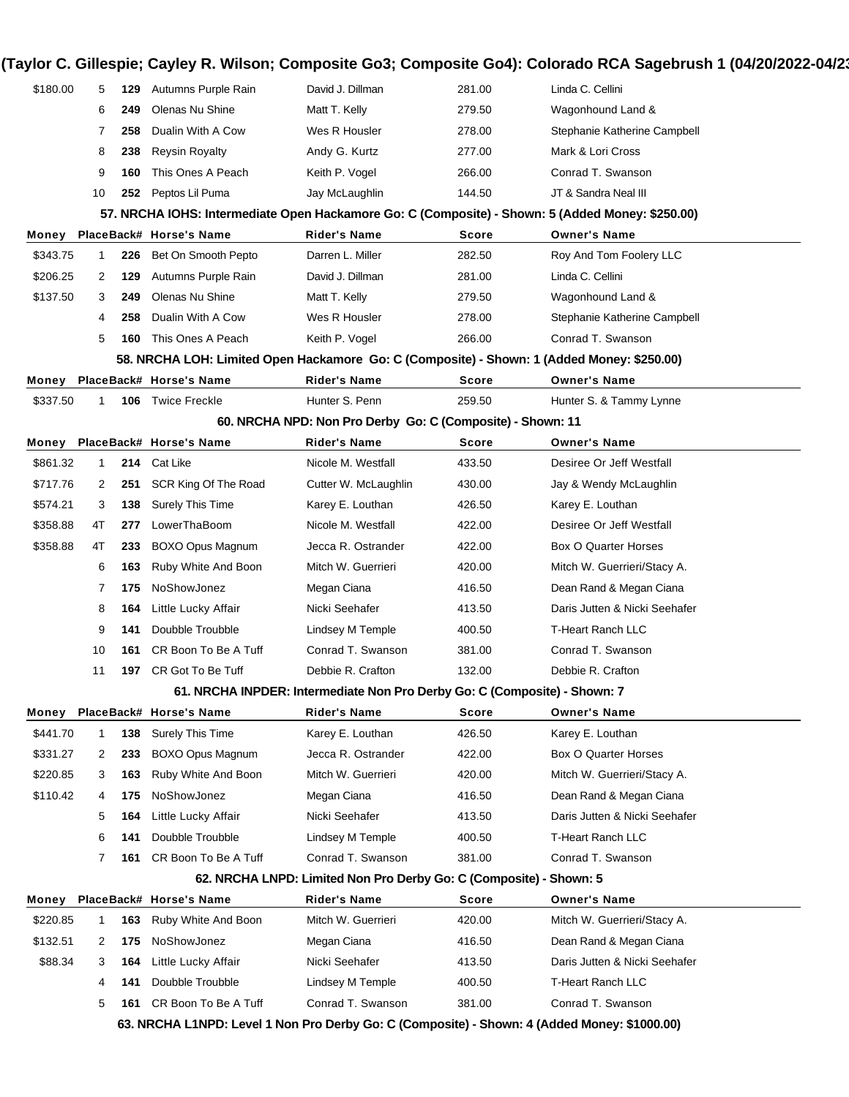| \$180.00 | 5              |     | <b>129</b> Autumns Purple Rain | David J. Dillman                                                          | 281.00       | Linda C. Cellini                                                                                 |
|----------|----------------|-----|--------------------------------|---------------------------------------------------------------------------|--------------|--------------------------------------------------------------------------------------------------|
|          | 6              | 249 | Olenas Nu Shine                | Matt T. Kelly                                                             | 279.50       | Wagonhound Land &                                                                                |
|          | 7              | 258 | Dualin With A Cow              | Wes R Housler                                                             | 278.00       | Stephanie Katherine Campbell                                                                     |
|          | 8              | 238 | <b>Reysin Royalty</b>          | Andy G. Kurtz                                                             | 277.00       | Mark & Lori Cross                                                                                |
|          | 9              | 160 | This Ones A Peach              | Keith P. Vogel                                                            | 266.00       | Conrad T. Swanson                                                                                |
|          | 10             | 252 | Peptos Lil Puma                | Jay McLaughlin                                                            | 144.50       | JT & Sandra Neal III                                                                             |
|          |                |     |                                |                                                                           |              | 57. NRCHA IOHS: Intermediate Open Hackamore Go: C (Composite) - Shown: 5 (Added Money: \$250.00) |
| Money    |                |     | PlaceBack# Horse's Name        | Rider's Name                                                              | Score        | <b>Owner's Name</b>                                                                              |
| \$343.75 | 1              | 226 | Bet On Smooth Pepto            | Darren L. Miller                                                          | 282.50       | Roy And Tom Foolery LLC                                                                          |
| \$206.25 | 2              | 129 | Autumns Purple Rain            | David J. Dillman                                                          | 281.00       | Linda C. Cellini                                                                                 |
| \$137.50 | 3              | 249 | Olenas Nu Shine                | Matt T. Kelly                                                             | 279.50       | Wagonhound Land &                                                                                |
|          | 4              | 258 | Dualin With A Cow              | Wes R Housler                                                             | 278.00       | Stephanie Katherine Campbell                                                                     |
|          | 5              | 160 | This Ones A Peach              | Keith P. Vogel                                                            | 266.00       | Conrad T. Swanson                                                                                |
|          |                |     |                                |                                                                           |              | 58. NRCHA LOH: Limited Open Hackamore Go: C (Composite) - Shown: 1 (Added Money: \$250.00)       |
| Money    |                |     | PlaceBack# Horse's Name        | Rider's Name                                                              | <b>Score</b> | <b>Owner's Name</b>                                                                              |
| \$337.50 |                |     | 106 Twice Freckle              | Hunter S. Penn                                                            | 259.50       | Hunter S. & Tammy Lynne                                                                          |
|          |                |     |                                | 60. NRCHA NPD: Non Pro Derby Go: C (Composite) - Shown: 11                |              |                                                                                                  |
| Money    |                |     | PlaceBack# Horse's Name        | Rider's Name                                                              | <b>Score</b> | <b>Owner's Name</b>                                                                              |
| \$861.32 | 1              |     | 214 Cat Like                   | Nicole M. Westfall                                                        | 433.50       | Desiree Or Jeff Westfall                                                                         |
| \$717.76 | 2              | 251 | SCR King Of The Road           | Cutter W. McLaughlin                                                      | 430.00       | Jay & Wendy McLaughlin                                                                           |
| \$574.21 | 3              | 138 | Surely This Time               | Karey E. Louthan                                                          | 426.50       | Karey E. Louthan                                                                                 |
| \$358.88 | 4T             | 277 | LowerThaBoom                   | Nicole M. Westfall                                                        | 422.00       | Desiree Or Jeff Westfall                                                                         |
| \$358.88 | 4T             | 233 | BOXO Opus Magnum               | Jecca R. Ostrander                                                        | 422.00       | <b>Box O Quarter Horses</b>                                                                      |
|          | 6              | 163 | Ruby White And Boon            | Mitch W. Guerrieri                                                        | 420.00       | Mitch W. Guerrieri/Stacy A.                                                                      |
|          | 7              | 175 | NoShowJonez                    | Megan Ciana                                                               | 416.50       | Dean Rand & Megan Ciana                                                                          |
|          | 8              | 164 | Little Lucky Affair            | Nicki Seehafer                                                            | 413.50       | Daris Jutten & Nicki Seehafer                                                                    |
|          | 9              | 141 | Doubble Troubble               | Lindsey M Temple                                                          | 400.50       | <b>T-Heart Ranch LLC</b>                                                                         |
|          | 10             | 161 | CR Boon To Be A Tuff           | Conrad T. Swanson                                                         | 381.00       | Conrad T. Swanson                                                                                |
|          | 11             |     | 197 CR Got To Be Tuff          | Debbie R. Crafton                                                         | 132.00       | Debbie R. Crafton                                                                                |
|          |                |     |                                | 61. NRCHA INPDER: Intermediate Non Pro Derby Go: C (Composite) - Shown: 7 |              |                                                                                                  |
|          |                |     | Money PlaceBack# Horse's Name  | <b>Rider's Name</b>                                                       | <b>Score</b> | <b>Owner's Name</b>                                                                              |
| \$441.70 |                | 138 | Surely This Time               | Karey E. Louthan                                                          | 426.50       | Karey E. Louthan                                                                                 |
| \$331.27 | $\overline{2}$ | 233 | BOXO Opus Magnum               | Jecca R. Ostrander                                                        | 422.00       | <b>Box O Quarter Horses</b>                                                                      |
| \$220.85 | 3              | 163 | Ruby White And Boon            | Mitch W. Guerrieri                                                        | 420.00       | Mitch W. Guerrieri/Stacy A.                                                                      |
| \$110.42 | 4              | 175 | NoShowJonez                    | Megan Ciana                                                               | 416.50       | Dean Rand & Megan Ciana                                                                          |
|          | 5              | 164 | Little Lucky Affair            | Nicki Seehafer                                                            | 413.50       | Daris Jutten & Nicki Seehafer                                                                    |
|          | 6              | 141 | Doubble Troubble               | <b>Lindsey M Temple</b>                                                   | 400.50       | T-Heart Ranch LLC                                                                                |
|          | $\mathbf{7}$   | 161 | CR Boon To Be A Tuff           | Conrad T. Swanson                                                         | 381.00       | Conrad T. Swanson                                                                                |
|          |                |     |                                | 62. NRCHA LNPD: Limited Non Pro Derby Go: C (Composite) - Shown: 5        |              |                                                                                                  |
| Money    |                |     | PlaceBack# Horse's Name        | <b>Rider's Name</b>                                                       | <b>Score</b> | <b>Owner's Name</b>                                                                              |
| \$220.85 |                | 163 | Ruby White And Boon            | Mitch W. Guerrieri                                                        | 420.00       | Mitch W. Guerrieri/Stacy A.                                                                      |
| \$132.51 | 2              | 175 | NoShowJonez                    | Megan Ciana                                                               | 416.50       | Dean Rand & Megan Ciana                                                                          |
|          |                | 164 | Little Lucky Affair            | Nicki Seehafer                                                            | 413.50       | Daris Jutten & Nicki Seehafer                                                                    |
| \$88.34  | 3              |     |                                |                                                                           |              |                                                                                                  |
|          | 4              | 141 | Doubble Troubble               | Lindsey M Temple                                                          | 400.50       | <b>T-Heart Ranch LLC</b>                                                                         |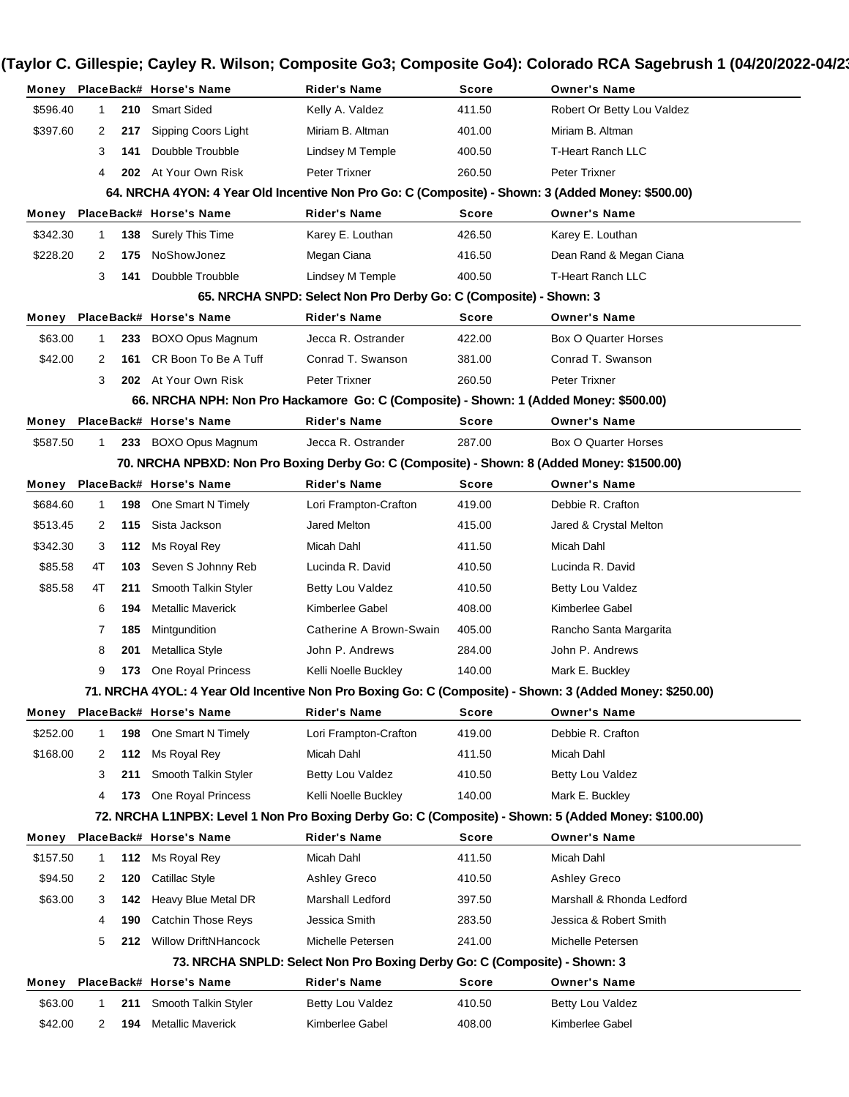|          |              |     | Money PlaceBack# Horse's Name                                                                     | Rider's Name                                                              | <b>Score</b> | <b>Owner's Name</b>                                                                                      |
|----------|--------------|-----|---------------------------------------------------------------------------------------------------|---------------------------------------------------------------------------|--------------|----------------------------------------------------------------------------------------------------------|
| \$596.40 | $\mathbf{1}$ | 210 | <b>Smart Sided</b>                                                                                | Kelly A. Valdez                                                           | 411.50       | Robert Or Betty Lou Valdez                                                                               |
| \$397.60 | 2            | 217 | Sipping Coors Light                                                                               | Miriam B. Altman                                                          | 401.00       | Miriam B. Altman                                                                                         |
|          | 3            | 141 | Doubble Troubble                                                                                  | Lindsey M Temple                                                          | 400.50       | <b>T-Heart Ranch LLC</b>                                                                                 |
|          | 4            |     | 202 At Your Own Risk                                                                              | Peter Trixner                                                             | 260.50       | <b>Peter Trixner</b>                                                                                     |
|          |              |     | 64. NRCHA 4YON: 4 Year Old Incentive Non Pro Go: C (Composite) - Shown: 3 (Added Money: \$500.00) |                                                                           |              |                                                                                                          |
| Money    |              |     | PlaceBack# Horse's Name                                                                           | <b>Rider's Name</b>                                                       | Score        | <b>Owner's Name</b>                                                                                      |
| \$342.30 | 1.           | 138 | Surely This Time                                                                                  | Karey E. Louthan                                                          | 426.50       | Karey E. Louthan                                                                                         |
| \$228.20 | 2            | 175 | NoShowJonez                                                                                       | Megan Ciana                                                               | 416.50       | Dean Rand & Megan Ciana                                                                                  |
|          | 3            | 141 | Doubble Troubble                                                                                  | <b>Lindsey M Temple</b>                                                   | 400.50       | <b>T-Heart Ranch LLC</b>                                                                                 |
|          |              |     |                                                                                                   | 65. NRCHA SNPD: Select Non Pro Derby Go: C (Composite) - Shown: 3         |              |                                                                                                          |
|          |              |     | Money PlaceBack# Horse's Name                                                                     | <b>Rider's Name</b>                                                       | Score        | <b>Owner's Name</b>                                                                                      |
| \$63.00  | 1            | 233 | <b>BOXO Opus Magnum</b>                                                                           | Jecca R. Ostrander                                                        | 422.00       | Box O Quarter Horses                                                                                     |
| \$42.00  | 2            | 161 | CR Boon To Be A Tuff                                                                              | Conrad T. Swanson                                                         | 381.00       | Conrad T. Swanson                                                                                        |
|          | 3            |     | 202 At Your Own Risk                                                                              | Peter Trixner                                                             | 260.50       | <b>Peter Trixner</b>                                                                                     |
|          |              |     | 66. NRCHA NPH: Non Pro Hackamore Go: C (Composite) - Shown: 1 (Added Money: \$500.00)             |                                                                           |              |                                                                                                          |
| Money    |              |     | PlaceBack# Horse's Name                                                                           | <b>Rider's Name</b>                                                       | Score        | <b>Owner's Name</b>                                                                                      |
| \$587.50 | 1            | 233 | BOXO Opus Magnum                                                                                  | Jecca R. Ostrander                                                        | 287.00       | Box O Quarter Horses                                                                                     |
|          |              |     | 70. NRCHA NPBXD: Non Pro Boxing Derby Go: C (Composite) - Shown: 8 (Added Money: \$1500.00)       |                                                                           |              |                                                                                                          |
|          |              |     | Money PlaceBack# Horse's Name                                                                     | <b>Rider's Name</b>                                                       | Score        | <b>Owner's Name</b>                                                                                      |
| \$684.60 | $\mathbf{1}$ | 198 | One Smart N Timely                                                                                | Lori Frampton-Crafton                                                     | 419.00       | Debbie R. Crafton                                                                                        |
| \$513.45 | 2            | 115 | Sista Jackson                                                                                     | Jared Melton                                                              | 415.00       | Jared & Crystal Melton                                                                                   |
| \$342.30 | 3            | 112 | Ms Royal Rey                                                                                      | Micah Dahl                                                                | 411.50       | Micah Dahl                                                                                               |
| \$85.58  | 4T           | 103 | Seven S Johnny Reb                                                                                | Lucinda R. David                                                          | 410.50       | Lucinda R. David                                                                                         |
| \$85.58  | 4T           | 211 | Smooth Talkin Styler                                                                              | Betty Lou Valdez                                                          | 410.50       | Betty Lou Valdez                                                                                         |
|          | 6            | 194 | <b>Metallic Maverick</b>                                                                          | Kimberlee Gabel                                                           | 408.00       | Kimberlee Gabel                                                                                          |
|          | 7            | 185 | Mintgundition                                                                                     | Catherine A Brown-Swain                                                   | 405.00       | Rancho Santa Margarita                                                                                   |
|          | 8            | 201 | Metallica Style                                                                                   | John P. Andrews                                                           | 284.00       | John P. Andrews                                                                                          |
|          | 9            | 173 | One Royal Princess                                                                                | Kelli Noelle Buckley                                                      | 140.00       | Mark E. Buckley                                                                                          |
|          |              |     |                                                                                                   |                                                                           |              | 71. NRCHA 4YOL: 4 Year Old Incentive Non Pro Boxing Go: C (Composite) - Shown: 3 (Added Money: \$250.00) |
|          |              |     | Money PlaceBack# Horse's Name                                                                     | Rider's Name                                                              | Score        | <b>Owner's Name</b>                                                                                      |
| \$252.00 | 1            | 198 | One Smart N Timely                                                                                | Lori Frampton-Crafton                                                     | 419.00       | Debbie R. Crafton                                                                                        |
| \$168.00 | 2            | 112 | Ms Royal Rey                                                                                      | Micah Dahl                                                                | 411.50       | Micah Dahl                                                                                               |
|          | 3            | 211 | Smooth Talkin Styler                                                                              | Betty Lou Valdez                                                          | 410.50       | Betty Lou Valdez                                                                                         |
|          | 4            | 173 | One Royal Princess                                                                                | Kelli Noelle Buckley                                                      | 140.00       | Mark E. Buckley                                                                                          |
|          |              |     |                                                                                                   |                                                                           |              | 72. NRCHA L1NPBX: Level 1 Non Pro Boxing Derby Go: C (Composite) - Shown: 5 (Added Money: \$100.00)      |
| Money    |              |     | PlaceBack# Horse's Name                                                                           | <b>Rider's Name</b>                                                       | Score        | <b>Owner's Name</b>                                                                                      |
| \$157.50 | 1            | 112 | Ms Royal Rey                                                                                      | Micah Dahl                                                                | 411.50       | Micah Dahl                                                                                               |
| \$94.50  | 2            | 120 | Catillac Style                                                                                    | Ashley Greco                                                              | 410.50       | Ashley Greco                                                                                             |
| \$63.00  | 3            | 142 | Heavy Blue Metal DR                                                                               | Marshall Ledford                                                          | 397.50       | Marshall & Rhonda Ledford                                                                                |
|          | 4            | 190 | <b>Catchin Those Reys</b>                                                                         | Jessica Smith                                                             | 283.50       | Jessica & Robert Smith                                                                                   |
|          | 5            | 212 | <b>Willow DriftNHancock</b>                                                                       | Michelle Petersen                                                         | 241.00       | Michelle Petersen                                                                                        |
|          |              |     |                                                                                                   | 73. NRCHA SNPLD: Select Non Pro Boxing Derby Go: C (Composite) - Shown: 3 |              |                                                                                                          |
| Money    |              |     | PlaceBack# Horse's Name                                                                           | Rider's Name                                                              | Score        | <b>Owner's Name</b>                                                                                      |
| \$63.00  | 1            | 211 | Smooth Talkin Styler                                                                              | Betty Lou Valdez                                                          | 410.50       | Betty Lou Valdez                                                                                         |
| \$42.00  | 2            | 194 | Metallic Maverick                                                                                 | Kimberlee Gabel                                                           | 408.00       | Kimberlee Gabel                                                                                          |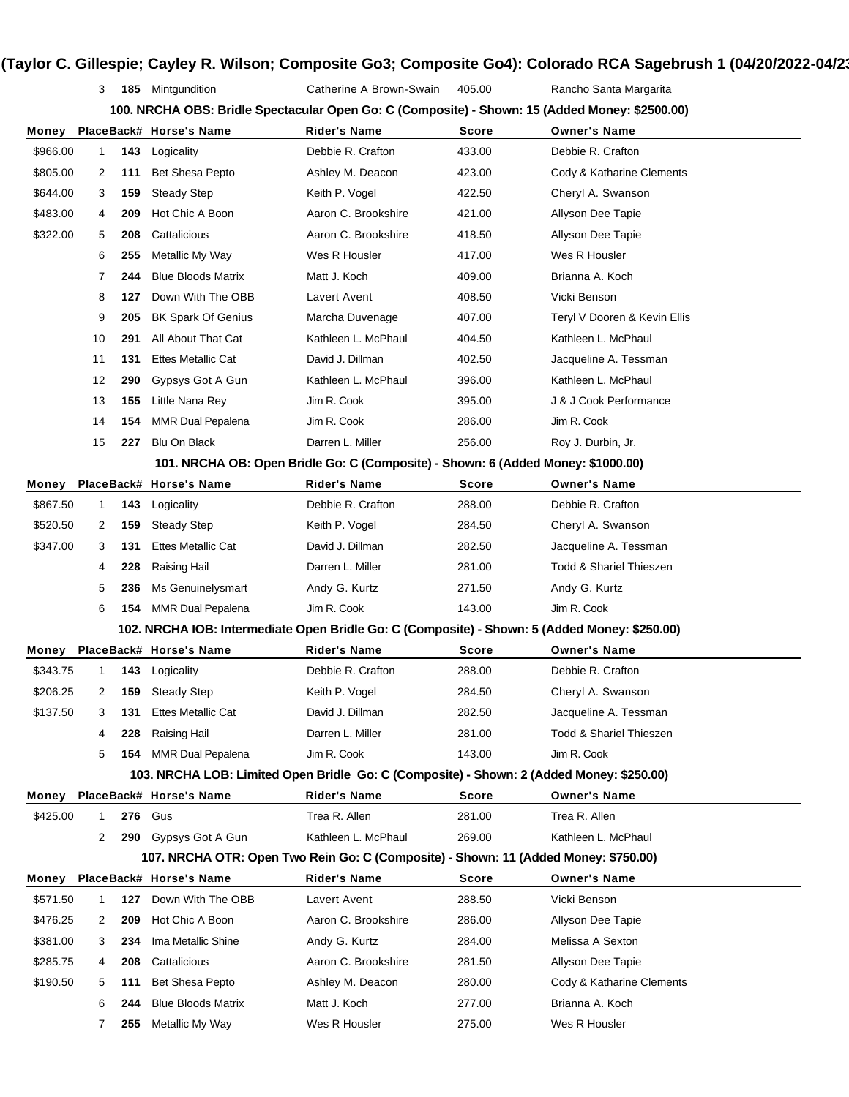3 **185** Mintgundition Catherine A Brown-Swain 405.00 Rancho Santa Margarita

| 100. NRCHA OBS: Bridle Spectacular Open Go: C (Composite) - Shown: 15 (Added Money: \$2500.00) |              |                               |              |  |
|------------------------------------------------------------------------------------------------|--------------|-------------------------------|--------------|--|
| laaaDaak# µaraa'a Nama.                                                                        | Didarla Nama | $S_{\alpha\alpha\beta\gamma}$ | Ownarlo Namo |  |

| Money    |    |     | PlaceBack# Horse's Name                                                                       | <b>Rider's Name</b>                                                              | Score  | <b>Owner's Name</b>                |
|----------|----|-----|-----------------------------------------------------------------------------------------------|----------------------------------------------------------------------------------|--------|------------------------------------|
| \$966.00 | 1  | 143 | Logicality                                                                                    | Debbie R. Crafton                                                                | 433.00 | Debbie R. Crafton                  |
| \$805.00 | 2  | 111 | <b>Bet Shesa Pepto</b>                                                                        | Ashley M. Deacon                                                                 | 423.00 | Cody & Katharine Clements          |
| \$644.00 | 3  | 159 | <b>Steady Step</b>                                                                            | Keith P. Vogel                                                                   | 422.50 | Cheryl A. Swanson                  |
| \$483.00 | 4  | 209 | Hot Chic A Boon                                                                               | Aaron C. Brookshire                                                              | 421.00 | Allyson Dee Tapie                  |
| \$322.00 | 5  | 208 | Cattalicious                                                                                  | Aaron C. Brookshire                                                              | 418.50 | Allyson Dee Tapie                  |
|          | 6  | 255 | Metallic My Way                                                                               | Wes R Housler                                                                    | 417.00 | Wes R Housler                      |
|          | 7  | 244 | <b>Blue Bloods Matrix</b>                                                                     | Matt J. Koch                                                                     | 409.00 | Brianna A. Koch                    |
|          | 8  | 127 | Down With The OBB                                                                             | Lavert Avent                                                                     | 408.50 | Vicki Benson                       |
|          | 9  | 205 | <b>BK Spark Of Genius</b>                                                                     | Marcha Duvenage                                                                  | 407.00 | Teryl V Dooren & Kevin Ellis       |
|          | 10 | 291 | All About That Cat                                                                            | Kathleen L. McPhaul                                                              | 404.50 | Kathleen L. McPhaul                |
|          | 11 | 131 | <b>Ettes Metallic Cat</b>                                                                     | David J. Dillman                                                                 | 402.50 | Jacqueline A. Tessman              |
|          | 12 | 290 | Gypsys Got A Gun                                                                              | Kathleen L. McPhaul                                                              | 396.00 | Kathleen L. McPhaul                |
|          | 13 | 155 | Little Nana Rey                                                                               | Jim R. Cook                                                                      | 395.00 | J & J Cook Performance             |
|          | 14 | 154 | <b>MMR Dual Pepalena</b>                                                                      | Jim R. Cook                                                                      | 286.00 | Jim R. Cook                        |
|          | 15 | 227 | <b>Blu On Black</b>                                                                           | Darren L. Miller                                                                 | 256.00 | Roy J. Durbin, Jr.                 |
|          |    |     |                                                                                               | 101. NRCHA OB: Open Bridle Go: C (Composite) - Shown: 6 (Added Money: \$1000.00) |        |                                    |
| Money    |    |     | PlaceBack# Horse's Name                                                                       | Rider's Name                                                                     | Score  | <b>Owner's Name</b>                |
| \$867.50 | 1  | 143 | Logicality                                                                                    | Debbie R. Crafton                                                                | 288.00 | Debbie R. Crafton                  |
| \$520.50 | 2  | 159 | <b>Steady Step</b>                                                                            | Keith P. Vogel                                                                   | 284.50 | Cheryl A. Swanson                  |
| \$347.00 | 3  | 131 | <b>Ettes Metallic Cat</b>                                                                     | David J. Dillman                                                                 | 282.50 | Jacqueline A. Tessman              |
|          | 4  | 228 | Raising Hail                                                                                  | Darren L. Miller                                                                 | 281.00 | <b>Todd &amp; Shariel Thieszen</b> |
|          | 5  | 236 | Ms Genuinelysmart                                                                             | Andy G. Kurtz                                                                    | 271.50 | Andy G. Kurtz                      |
|          | 6  | 154 | MMR Dual Pepalena                                                                             | Jim R. Cook                                                                      | 143.00 | Jim R. Cook                        |
|          |    |     | 102. NRCHA IOB: Intermediate Open Bridle Go: C (Composite) - Shown: 5 (Added Money: \$250.00) |                                                                                  |        |                                    |
| Money    |    |     | PlaceBack# Horse's Name                                                                       | Rider's Name                                                                     | Score  | <b>Owner's Name</b>                |
| \$343.75 | 1  | 143 | Logicality                                                                                    | Debbie R. Crafton                                                                | 288.00 | Debbie R. Crafton                  |
| \$206.25 | 2  | 159 | <b>Steady Step</b>                                                                            | Keith P. Vogel                                                                   | 284.50 | Cheryl A. Swanson                  |
| \$137.50 | 3  | 131 | <b>Ettes Metallic Cat</b>                                                                     | David J. Dillman                                                                 | 282.50 | Jacqueline A. Tessman              |
|          | 4  | 228 | Raising Hail                                                                                  | Darren L. Miller                                                                 | 281.00 | <b>Todd &amp; Shariel Thieszen</b> |
|          | 5  |     | 154 MMR Dual Pepalena                                                                         | Jim R. Cook                                                                      | 143.00 | Jim R. Cook                        |
|          |    |     | 103. NRCHA LOB: Limited Open Bridle Go: C (Composite) - Shown: 2 (Added Money: \$250.00)      |                                                                                  |        |                                    |
| Money    |    |     | PlaceBack# Horse's Name                                                                       | <b>Rider's Name</b>                                                              | Score  | <b>Owner's Name</b>                |
| \$425.00 | 1  | 276 | Gus                                                                                           | Trea R. Allen                                                                    | 281.00 | Trea R. Allen                      |
|          | 2  | 290 | Gypsys Got A Gun                                                                              | Kathleen L. McPhaul                                                              | 269.00 | Kathleen L. McPhaul                |
|          |    |     | 107. NRCHA OTR: Open Two Rein Go: C (Composite) - Shown: 11 (Added Money: \$750.00)           |                                                                                  |        |                                    |
| Money    |    |     | PlaceBack# Horse's Name                                                                       | <b>Rider's Name</b>                                                              | Score  | <b>Owner's Name</b>                |
| \$571.50 | 1  | 127 | Down With The OBB                                                                             | Lavert Avent                                                                     | 288.50 | Vicki Benson                       |
| \$476.25 | 2  | 209 | Hot Chic A Boon                                                                               | Aaron C. Brookshire                                                              | 286.00 | Allyson Dee Tapie                  |
| \$381.00 | 3  | 234 | Ima Metallic Shine                                                                            | Andy G. Kurtz                                                                    | 284.00 | Melissa A Sexton                   |
| \$285.75 | 4  | 208 | Cattalicious                                                                                  | Aaron C. Brookshire                                                              | 281.50 | Allyson Dee Tapie                  |
| \$190.50 | 5  | 111 | Bet Shesa Pepto                                                                               | Ashley M. Deacon                                                                 | 280.00 | Cody & Katharine Clements          |
|          | 6  | 244 | <b>Blue Bloods Matrix</b>                                                                     | Matt J. Koch                                                                     | 277.00 | Brianna A. Koch                    |
|          | 7  | 255 | Metallic My Way                                                                               | Wes R Housler                                                                    | 275.00 | Wes R Housler                      |
|          |    |     |                                                                                               |                                                                                  |        |                                    |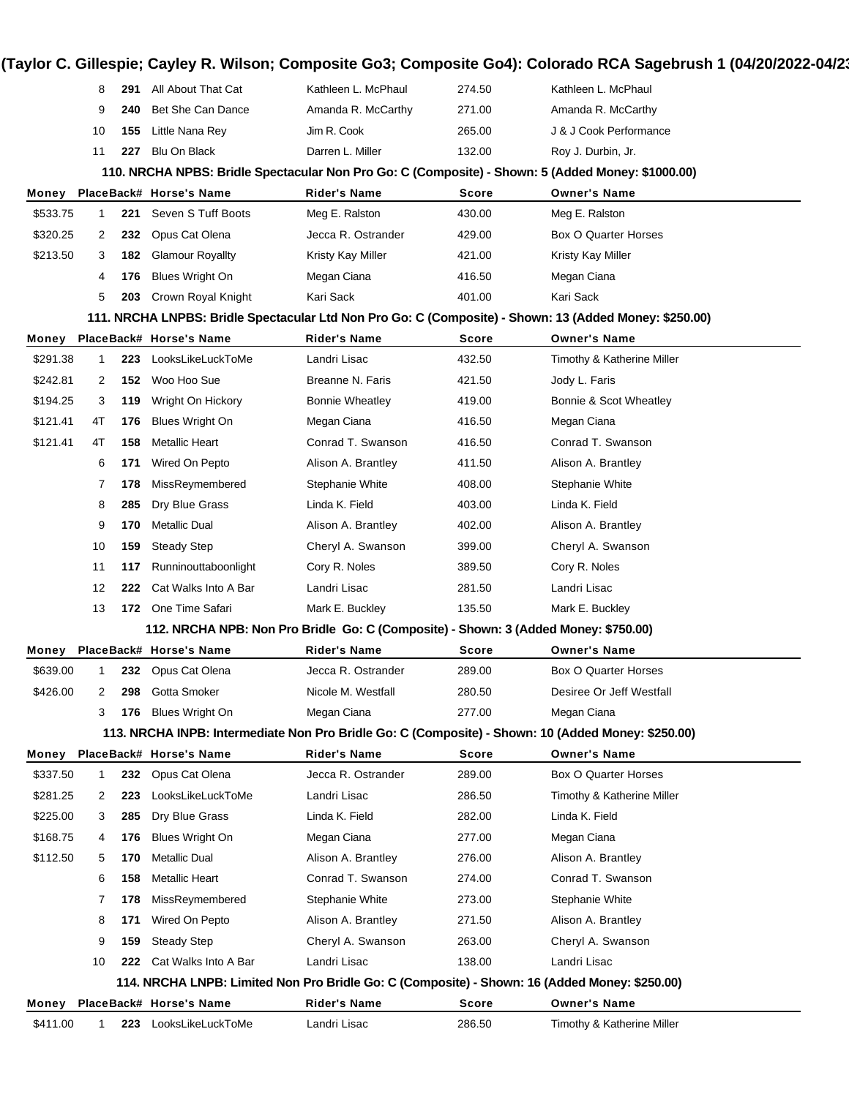|                                                                                                   | 8           | 291 | All About That Cat      | Kathleen L. McPhaul                                                                 | 274.50       | Kathleen L. McPhaul                                                                                    |  |  |
|---------------------------------------------------------------------------------------------------|-------------|-----|-------------------------|-------------------------------------------------------------------------------------|--------------|--------------------------------------------------------------------------------------------------------|--|--|
|                                                                                                   | 9           | 240 | Bet She Can Dance       | Amanda R. McCarthy                                                                  | 271.00       | Amanda R. McCarthy                                                                                     |  |  |
|                                                                                                   | 10          | 155 | Little Nana Rey         | Jim R. Cook                                                                         | 265.00       | J & J Cook Performance                                                                                 |  |  |
|                                                                                                   | 11          | 227 | <b>Blu On Black</b>     | Darren L. Miller                                                                    | 132.00       | Roy J. Durbin, Jr.                                                                                     |  |  |
| 110. NRCHA NPBS: Bridle Spectacular Non Pro Go: C (Composite) - Shown: 5 (Added Money: \$1000.00) |             |     |                         |                                                                                     |              |                                                                                                        |  |  |
| Money                                                                                             |             |     | PlaceBack# Horse's Name | Rider's Name                                                                        | Score        | <b>Owner's Name</b>                                                                                    |  |  |
| \$533.75                                                                                          | $\mathbf 1$ | 221 | Seven S Tuff Boots      | Meg E. Ralston                                                                      | 430.00       | Meg E. Ralston                                                                                         |  |  |
| \$320.25                                                                                          | 2           | 232 | Opus Cat Olena          | Jecca R. Ostrander                                                                  | 429.00       | <b>Box O Quarter Horses</b>                                                                            |  |  |
| \$213.50                                                                                          | 3           | 182 | <b>Glamour Royallty</b> | Kristy Kay Miller                                                                   | 421.00       | Kristy Kay Miller                                                                                      |  |  |
|                                                                                                   | 4           | 176 | Blues Wright On         | Megan Ciana                                                                         | 416.50       | Megan Ciana                                                                                            |  |  |
|                                                                                                   | 5           | 203 | Crown Royal Knight      | Kari Sack                                                                           | 401.00       | Kari Sack                                                                                              |  |  |
|                                                                                                   |             |     |                         |                                                                                     |              | 111. NRCHA LNPBS: Bridle Spectacular Ltd Non Pro Go: C (Composite) - Shown: 13 (Added Money: \$250.00) |  |  |
| Money                                                                                             |             |     | PlaceBack# Horse's Name | <b>Rider's Name</b>                                                                 | Score        | <b>Owner's Name</b>                                                                                    |  |  |
| \$291.38                                                                                          | 1           | 223 | LooksLikeLuckToMe       | Landri Lisac                                                                        | 432.50       | Timothy & Katherine Miller                                                                             |  |  |
| \$242.81                                                                                          | 2           | 152 | Woo Hoo Sue             | Breanne N. Faris                                                                    | 421.50       | Jody L. Faris                                                                                          |  |  |
| \$194.25                                                                                          | 3           | 119 | Wright On Hickory       | <b>Bonnie Wheatley</b>                                                              | 419.00       | Bonnie & Scot Wheatley                                                                                 |  |  |
| \$121.41                                                                                          | 4T          | 176 | <b>Blues Wright On</b>  | Megan Ciana                                                                         | 416.50       | Megan Ciana                                                                                            |  |  |
| \$121.41                                                                                          | 4T          | 158 | Metallic Heart          | Conrad T. Swanson                                                                   | 416.50       | Conrad T. Swanson                                                                                      |  |  |
|                                                                                                   | 6           | 171 | Wired On Pepto          | Alison A. Brantley                                                                  | 411.50       | Alison A. Brantley                                                                                     |  |  |
|                                                                                                   | 7           | 178 | MissReymembered         | Stephanie White                                                                     | 408.00       | Stephanie White                                                                                        |  |  |
|                                                                                                   | 8           | 285 | Dry Blue Grass          | Linda K. Field                                                                      | 403.00       | Linda K. Field                                                                                         |  |  |
|                                                                                                   | 9           | 170 | <b>Metallic Dual</b>    | Alison A. Brantley                                                                  | 402.00       | Alison A. Brantley                                                                                     |  |  |
|                                                                                                   | 10          | 159 | <b>Steady Step</b>      | Cheryl A. Swanson                                                                   | 399.00       | Cheryl A. Swanson                                                                                      |  |  |
|                                                                                                   | 11          | 117 | Runninouttaboonlight    | Cory R. Noles                                                                       | 389.50       | Cory R. Noles                                                                                          |  |  |
|                                                                                                   | 12          | 222 | Cat Walks Into A Bar    | Landri Lisac                                                                        | 281.50       | Landri Lisac                                                                                           |  |  |
|                                                                                                   | 13          |     | 172 One Time Safari     | Mark E. Buckley                                                                     | 135.50       | Mark E. Buckley                                                                                        |  |  |
|                                                                                                   |             |     |                         | 112. NRCHA NPB: Non Pro Bridle Go: C (Composite) - Shown: 3 (Added Money: \$750.00) |              |                                                                                                        |  |  |
| Money                                                                                             |             |     | PlaceBack# Horse's Name | Rider's Name                                                                        | Score        | <b>Owner's Name</b>                                                                                    |  |  |
| \$639.00                                                                                          | 1           | 232 | Opus Cat Olena          | Jecca R. Ostrander                                                                  | 289.00       | Box O Quarter Horses                                                                                   |  |  |
| \$426.00                                                                                          | 2           | 298 | Gotta Smoker            | Nicole M. Westfall                                                                  | 280.50       | Desiree Or Jeff Westfall                                                                               |  |  |
|                                                                                                   | 3           | 176 | <b>Blues Wright On</b>  | Megan Ciana                                                                         | 277.00       | Megan Ciana                                                                                            |  |  |
|                                                                                                   |             |     |                         |                                                                                     |              | 113. NRCHA INPB: Intermediate Non Pro Bridle Go: C (Composite) - Shown: 10 (Added Money: \$250.00)     |  |  |
| Money                                                                                             |             |     | PlaceBack# Horse's Name | <b>Rider's Name</b>                                                                 | <b>Score</b> | <b>Owner's Name</b>                                                                                    |  |  |
| \$337.50                                                                                          | 1           | 232 | Opus Cat Olena          | Jecca R. Ostrander                                                                  | 289.00       | Box O Quarter Horses                                                                                   |  |  |
| \$281.25                                                                                          | 2           | 223 | LooksLikeLuckToMe       | Landri Lisac                                                                        | 286.50       | Timothy & Katherine Miller                                                                             |  |  |
| \$225.00                                                                                          | 3           | 285 | Dry Blue Grass          | Linda K. Field                                                                      | 282.00       | Linda K. Field                                                                                         |  |  |
| \$168.75                                                                                          | 4           | 176 | <b>Blues Wright On</b>  | Megan Ciana                                                                         | 277.00       | Megan Ciana                                                                                            |  |  |
| \$112.50                                                                                          | 5           | 170 | Metallic Dual           | Alison A. Brantley                                                                  | 276.00       | Alison A. Brantley                                                                                     |  |  |
|                                                                                                   | 6           | 158 | <b>Metallic Heart</b>   | Conrad T. Swanson                                                                   | 274.00       | Conrad T. Swanson                                                                                      |  |  |
|                                                                                                   | 7           | 178 | MissReymembered         | Stephanie White                                                                     | 273.00       | Stephanie White                                                                                        |  |  |
|                                                                                                   | 8           | 171 | Wired On Pepto          | Alison A. Brantley                                                                  | 271.50       | Alison A. Brantley                                                                                     |  |  |
|                                                                                                   | 9           | 159 | <b>Steady Step</b>      | Cheryl A. Swanson                                                                   | 263.00       | Cheryl A. Swanson                                                                                      |  |  |
|                                                                                                   |             | 222 | Cat Walks Into A Bar    | Landri Lisac                                                                        | 138.00       | Landri Lisac                                                                                           |  |  |
|                                                                                                   | 10          |     |                         |                                                                                     |              |                                                                                                        |  |  |
|                                                                                                   |             |     |                         |                                                                                     |              | 114. NRCHA LNPB: Limited Non Pro Bridle Go: C (Composite) - Shown: 16 (Added Money: \$250.00)          |  |  |
| Money                                                                                             |             |     | PlaceBack# Horse's Name | <b>Rider's Name</b>                                                                 | Score        | <b>Owner's Name</b>                                                                                    |  |  |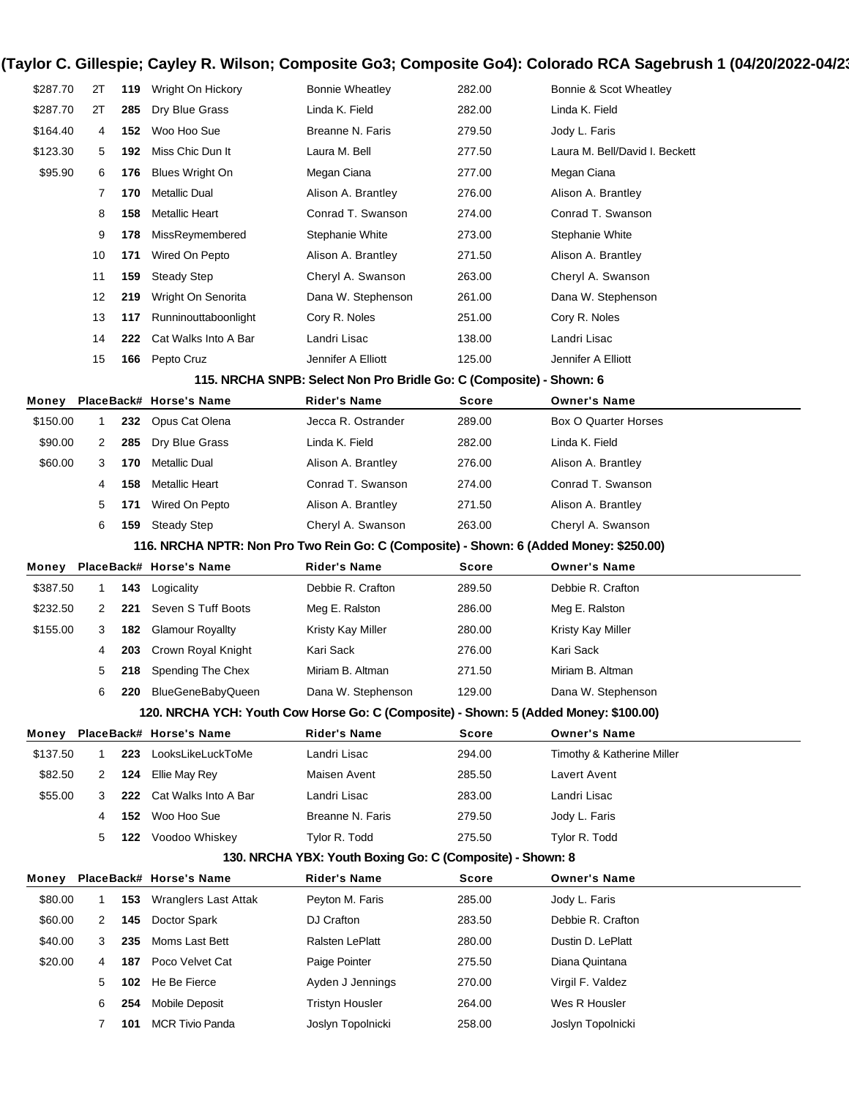| \$287.70 | 2T           | 119 | Wright On Hickory                                                                      | <b>Bonnie Wheatley</b>                                              | 282.00 | Bonnie & Scot Wheatley         |
|----------|--------------|-----|----------------------------------------------------------------------------------------|---------------------------------------------------------------------|--------|--------------------------------|
| \$287.70 | 2T           | 285 | Dry Blue Grass                                                                         | Linda K. Field                                                      | 282.00 | Linda K. Field                 |
| \$164.40 | 4            | 152 | Woo Hoo Sue                                                                            | Breanne N. Faris                                                    | 279.50 | Jody L. Faris                  |
| \$123.30 | 5            | 192 | Miss Chic Dun It                                                                       | Laura M. Bell                                                       | 277.50 | Laura M. Bell/David I. Beckett |
| \$95.90  | 6            | 176 | <b>Blues Wright On</b>                                                                 | Megan Ciana                                                         | 277.00 | Megan Ciana                    |
|          | 7            | 170 | <b>Metallic Dual</b>                                                                   | Alison A. Brantley                                                  | 276.00 | Alison A. Brantley             |
|          | 8            | 158 | <b>Metallic Heart</b>                                                                  | Conrad T. Swanson                                                   | 274.00 | Conrad T. Swanson              |
|          | 9            | 178 | MissReymembered                                                                        | Stephanie White                                                     | 273.00 | Stephanie White                |
|          | 10           | 171 | Wired On Pepto                                                                         | Alison A. Brantley                                                  | 271.50 | Alison A. Brantley             |
|          | 11           | 159 | <b>Steady Step</b>                                                                     | Cheryl A. Swanson                                                   | 263.00 | Cheryl A. Swanson              |
|          | 12           | 219 | Wright On Senorita                                                                     | Dana W. Stephenson                                                  | 261.00 | Dana W. Stephenson             |
|          | 13           | 117 | Runninouttaboonlight                                                                   | Cory R. Noles                                                       | 251.00 | Cory R. Noles                  |
|          | 14           | 222 | Cat Walks Into A Bar                                                                   | Landri Lisac                                                        | 138.00 | Landri Lisac                   |
|          | 15           | 166 | Pepto Cruz                                                                             | Jennifer A Elliott                                                  | 125.00 | Jennifer A Elliott             |
|          |              |     |                                                                                        | 115. NRCHA SNPB: Select Non Pro Bridle Go: C (Composite) - Shown: 6 |        |                                |
| Money    |              |     | PlaceBack# Horse's Name                                                                | <b>Rider's Name</b>                                                 | Score  | <b>Owner's Name</b>            |
| \$150.00 | 1            | 232 | Opus Cat Olena                                                                         | Jecca R. Ostrander                                                  | 289.00 | Box O Quarter Horses           |
| \$90.00  | 2            | 285 | Dry Blue Grass                                                                         | Linda K. Field                                                      | 282.00 | Linda K. Field                 |
| \$60.00  | 3            | 170 | <b>Metallic Dual</b>                                                                   | Alison A. Brantley                                                  | 276.00 | Alison A. Brantley             |
|          | 4            | 158 | <b>Metallic Heart</b>                                                                  | Conrad T. Swanson                                                   | 274.00 | Conrad T. Swanson              |
|          | 5            | 171 | Wired On Pepto                                                                         | Alison A. Brantley                                                  | 271.50 | Alison A. Brantley             |
|          |              | 159 | <b>Steady Step</b>                                                                     | Cheryl A. Swanson                                                   | 263.00 | Cheryl A. Swanson              |
|          | 6            |     |                                                                                        |                                                                     |        |                                |
|          |              |     | 116. NRCHA NPTR: Non Pro Two Rein Go: C (Composite) - Shown: 6 (Added Money: \$250.00) |                                                                     |        |                                |
| Money    |              |     | PlaceBack# Horse's Name                                                                | <b>Rider's Name</b>                                                 | Score  | <b>Owner's Name</b>            |
| \$387.50 | 1            | 143 | Logicality                                                                             | Debbie R. Crafton                                                   | 289.50 | Debbie R. Crafton              |
| \$232.50 | 2            | 221 | Seven S Tuff Boots                                                                     | Meg E. Ralston                                                      | 286.00 | Meg E. Ralston                 |
| \$155.00 | 3            | 182 | <b>Glamour Royallty</b>                                                                | Kristy Kay Miller                                                   | 280.00 | Kristy Kay Miller              |
|          | 4            | 203 | Crown Royal Knight                                                                     | Kari Sack                                                           | 276.00 | Kari Sack                      |
|          | 5            | 218 | Spending The Chex                                                                      | Miriam B. Altman                                                    | 271.50 | Miriam B. Altman               |
|          | 6            |     | 220 BlueGeneBabyQueen                                                                  | Dana W. Stephenson                                                  | 129.00 | Dana W. Stephenson             |
|          |              |     | 120. NRCHA YCH: Youth Cow Horse Go: C (Composite) - Shown: 5 (Added Money: \$100.00)   |                                                                     |        |                                |
| Monev    |              |     | PlaceBack# Horse's Name                                                                | <b>Rider's Name</b>                                                 | Score  | <b>Owner's Name</b>            |
| \$137.50 | 1            | 223 | LooksLikeLuckToMe                                                                      | Landri Lisac                                                        | 294.00 | Timothy & Katherine Miller     |
| \$82.50  | 2            | 124 | Ellie May Rey                                                                          | Maisen Avent                                                        | 285.50 | Lavert Avent                   |
| \$55.00  | 3            | 222 | Cat Walks Into A Bar                                                                   | Landri Lisac                                                        | 283.00 | Landri Lisac                   |
|          | 4            | 152 | Woo Hoo Sue                                                                            | Breanne N. Faris                                                    | 279.50 | Jody L. Faris                  |
|          | 5            |     | 122 Voodoo Whiskey                                                                     | Tylor R. Todd                                                       | 275.50 | Tylor R. Todd                  |
|          |              |     |                                                                                        | 130. NRCHA YBX: Youth Boxing Go: C (Composite) - Shown: 8           |        |                                |
| Monev    |              |     | PlaceBack# Horse's Name                                                                | Rider's Name                                                        | Score  | <b>Owner's Name</b>            |
| \$80.00  | $\mathbf{1}$ | 153 | Wranglers Last Attak                                                                   | Peyton M. Faris                                                     | 285.00 | Jody L. Faris                  |
| \$60.00  | 2            | 145 | Doctor Spark                                                                           | DJ Crafton                                                          | 283.50 | Debbie R. Crafton              |
| \$40.00  | 3            | 235 | Moms Last Bett                                                                         | Ralsten LePlatt                                                     | 280.00 | Dustin D. LePlatt              |
| \$20.00  | 4            | 187 | Poco Velvet Cat                                                                        | Paige Pointer                                                       | 275.50 | Diana Quintana                 |
|          | 5            | 102 | He Be Fierce                                                                           | Ayden J Jennings                                                    | 270.00 | Virgil F. Valdez               |
|          | 6            | 254 | Mobile Deposit                                                                         | <b>Tristyn Housler</b>                                              | 264.00 | Wes R Housler                  |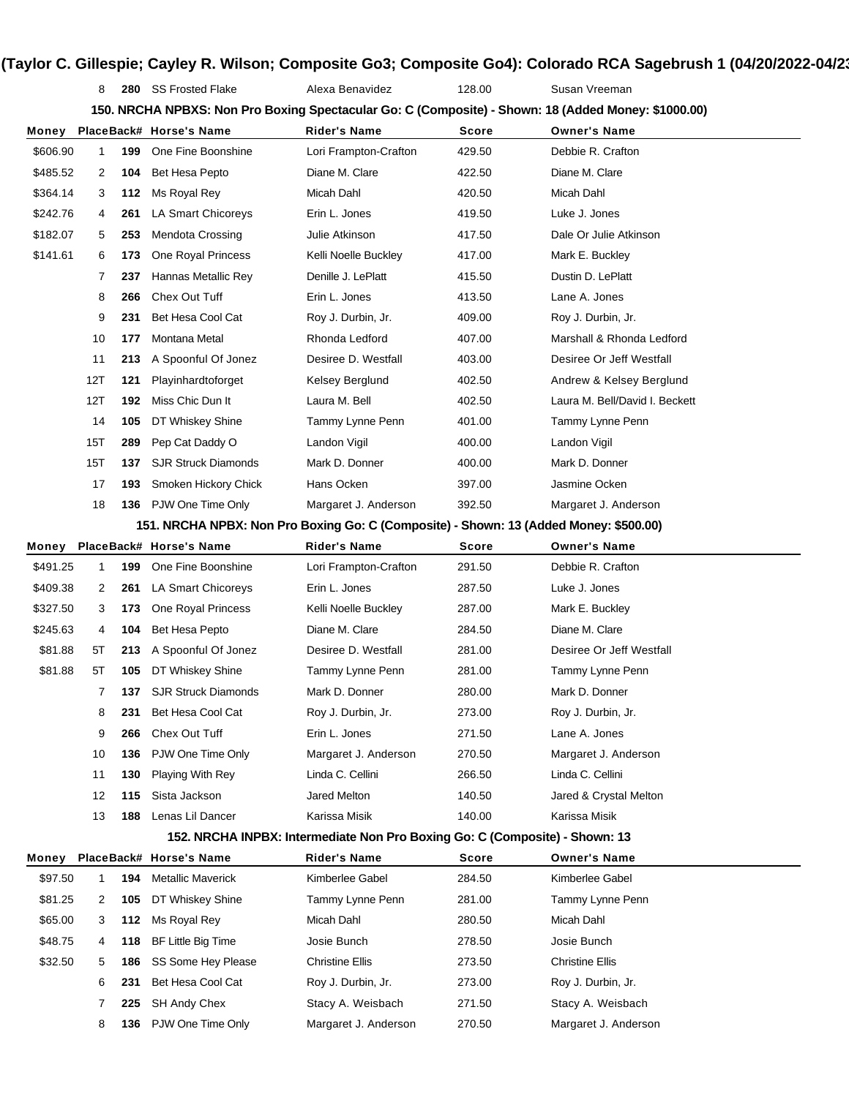8 **280** SS Frosted Flake Alexa Benavidez 128.00 Susan Vreeman

**150. NRCHA NPBXS: Non Pro Boxing Spectacular Go: C (Composite) - Shown: 18 (Added Money: \$1000.00)**

| Money    |     |     | PlaceBack# Horse's Name    | Rider's Name                                                                          | Score        | <b>Owner's Name</b>            |
|----------|-----|-----|----------------------------|---------------------------------------------------------------------------------------|--------------|--------------------------------|
| \$606.90 | 1   | 199 | One Fine Boonshine         | Lori Frampton-Crafton                                                                 | 429.50       | Debbie R. Crafton              |
| \$485.52 | 2   | 104 | Bet Hesa Pepto             | Diane M. Clare                                                                        | 422.50       | Diane M. Clare                 |
| \$364.14 | 3   | 112 | Ms Royal Rey               | Micah Dahl                                                                            | 420.50       | Micah Dahl                     |
| \$242.76 | 4   | 261 | LA Smart Chicoreys         | Erin L. Jones                                                                         | 419.50       | Luke J. Jones                  |
| \$182.07 | 5   | 253 | <b>Mendota Crossing</b>    | Julie Atkinson                                                                        | 417.50       | Dale Or Julie Atkinson         |
| \$141.61 | 6   | 173 | One Royal Princess         | Kelli Noelle Buckley                                                                  | 417.00       | Mark E. Buckley                |
|          | 7   | 237 | Hannas Metallic Rey        | Denille J. LePlatt                                                                    | 415.50       | Dustin D. LePlatt              |
|          | 8   | 266 | Chex Out Tuff              | Erin L. Jones                                                                         | 413.50       | Lane A. Jones                  |
|          | 9   | 231 | Bet Hesa Cool Cat          | Roy J. Durbin, Jr.                                                                    | 409.00       | Roy J. Durbin, Jr.             |
|          | 10  | 177 | Montana Metal              | Rhonda Ledford                                                                        | 407.00       | Marshall & Rhonda Ledford      |
|          | 11  | 213 | A Spoonful Of Jonez        | Desiree D. Westfall                                                                   | 403.00       | Desiree Or Jeff Westfall       |
|          | 12T | 121 | Playinhardtoforget         | Kelsey Berglund                                                                       | 402.50       | Andrew & Kelsey Berglund       |
|          | 12T | 192 | Miss Chic Dun It           | Laura M. Bell                                                                         | 402.50       | Laura M. Bell/David I. Beckett |
|          | 14  | 105 | DT Whiskey Shine           | Tammy Lynne Penn                                                                      | 401.00       | Tammy Lynne Penn               |
|          | 15T | 289 | Pep Cat Daddy O            | Landon Vigil                                                                          | 400.00       | Landon Vigil                   |
|          | 15T | 137 | <b>SJR Struck Diamonds</b> | Mark D. Donner                                                                        | 400.00       | Mark D. Donner                 |
|          | 17  | 193 | Smoken Hickory Chick       | Hans Ocken                                                                            | 397.00       | Jasmine Ocken                  |
|          | 18  |     | 136 PJW One Time Only      | Margaret J. Anderson                                                                  | 392.50       | Margaret J. Anderson           |
|          |     |     |                            | 151. NRCHA NPBX: Non Pro Boxing Go: C (Composite) - Shown: 13 (Added Money: \$500.00) |              |                                |
| Money    |     |     | PlaceBack# Horse's Name    | <b>Rider's Name</b>                                                                   | <b>Score</b> | <b>Owner's Name</b>            |
| \$491.25 | 1   | 199 | One Fine Boonshine         | Lori Frampton-Crafton                                                                 | 291.50       | Debbie R. Crafton              |
| \$409.38 | 2   | 261 | LA Smart Chicoreys         | Erin L. Jones                                                                         | 287.50       | Luke J. Jones                  |
| \$327.50 | 3   | 173 | One Royal Princess         | Kelli Noelle Buckley                                                                  | 287.00       | Mark E. Buckley                |
| \$245.63 | 4   | 104 | Bet Hesa Pepto             | Diane M. Clare                                                                        | 284.50       | Diane M. Clare                 |
| \$81.88  | 5Τ  | 213 | A Spoonful Of Jonez        | Desiree D. Westfall                                                                   | 281.00       | Desiree Or Jeff Westfall       |
| \$81.88  | 5Τ  | 105 | DT Whiskey Shine           | Tammy Lynne Penn                                                                      | 281.00       | Tammy Lynne Penn               |
|          | 7   | 137 | <b>SJR Struck Diamonds</b> | Mark D. Donner                                                                        | 280.00       | Mark D. Donner                 |
|          | 8   | 231 | Bet Hesa Cool Cat          | Roy J. Durbin, Jr.                                                                    | 273.00       | Roy J. Durbin, Jr.             |
|          | 9   | 266 | Chex Out Tuff              | Erin L. Jones                                                                         | 271.50       | Lane A. Jones                  |
|          | 10  | 136 | PJW One Time Only          | Margaret J. Anderson                                                                  | 270.50       | Margaret J. Anderson           |
|          | 11  | 130 | <b>Playing With Rey</b>    | Linda C. Cellini                                                                      | 266.50       | Linda C. Cellini               |
|          | 12  | 115 | Sista Jackson              | Jared Melton                                                                          | 140.50       | Jared & Crystal Melton         |
|          | 13  | 188 | Lenas Lil Dancer           | Karissa Misik                                                                         | 140.00       | Karissa Misik                  |
|          |     |     |                            | 152. NRCHA INPBX: Intermediate Non Pro Boxing Go: C (Composite) - Shown: 13           |              |                                |
| Money    |     |     | PlaceBack# Horse's Name    | <b>Rider's Name</b>                                                                   | Score        | <b>Owner's Name</b>            |
| \$97.50  | 1   | 194 | <b>Metallic Maverick</b>   | Kimberlee Gabel                                                                       | 284.50       | Kimberlee Gabel                |
| \$81.25  | 2   | 105 | DT Whiskey Shine           | Tammy Lynne Penn                                                                      | 281.00       | Tammy Lynne Penn               |
| \$65.00  | 3   | 112 | Ms Royal Rey               | Micah Dahl                                                                            | 280.50       | Micah Dahl                     |
| \$48.75  | 4   | 118 | BF Little Big Time         | Josie Bunch                                                                           | 278.50       | Josie Bunch                    |
| \$32.50  | 5   | 186 | SS Some Hey Please         | <b>Christine Ellis</b>                                                                | 273.50       | <b>Christine Ellis</b>         |
|          | 6   | 231 | Bet Hesa Cool Cat          | Roy J. Durbin, Jr.                                                                    | 273.00       | Roy J. Durbin, Jr.             |
|          | 7   | 225 | SH Andy Chex               | Stacy A. Weisbach                                                                     | 271.50       | Stacy A. Weisbach              |
|          | 8   |     | 136 PJW One Time Only      | Margaret J. Anderson                                                                  | 270.50       | Margaret J. Anderson           |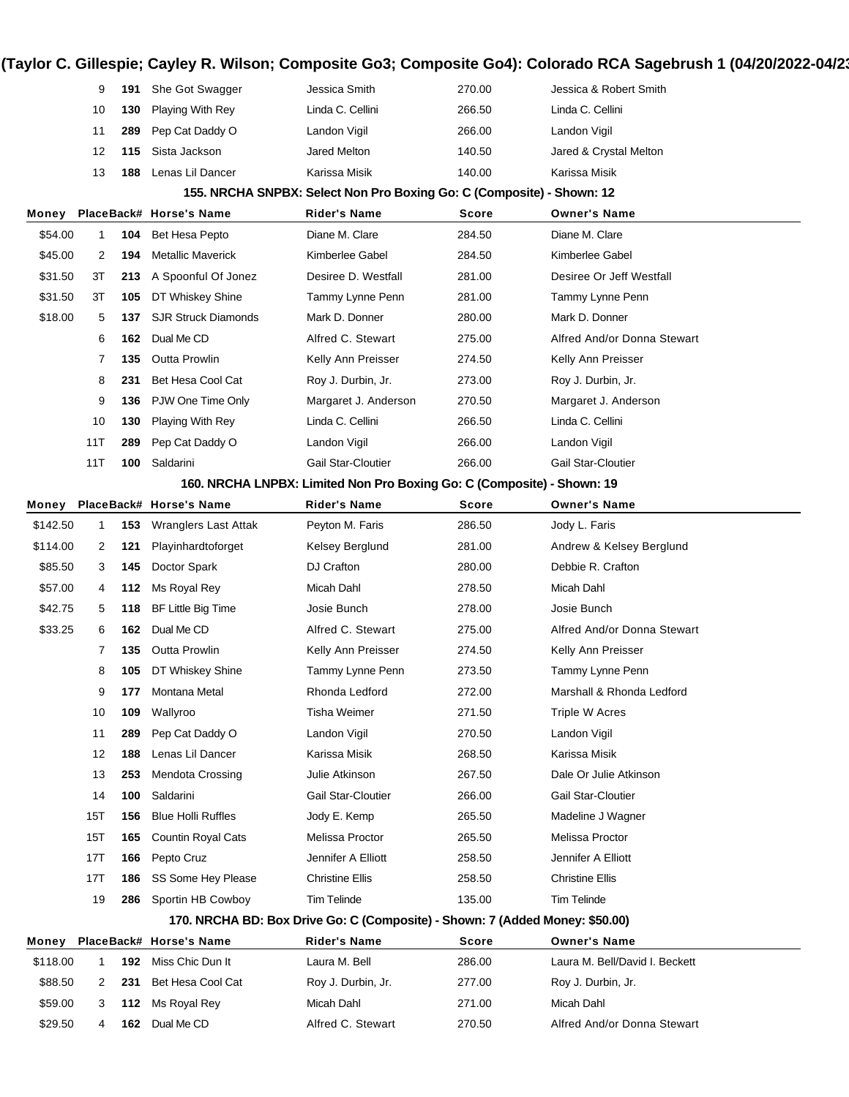|          | 9            | 191 | She Got Swagger            | Jessica Smith                                                                | 270.00 | Jessica & Robert Smith         |
|----------|--------------|-----|----------------------------|------------------------------------------------------------------------------|--------|--------------------------------|
|          | 10           | 130 | Playing With Rey           | Linda C. Cellini                                                             | 266.50 | Linda C. Cellini               |
|          | 11           | 289 | Pep Cat Daddy O            | Landon Vigil                                                                 | 266.00 | Landon Vigil                   |
|          | 12           | 115 | Sista Jackson              | Jared Melton                                                                 | 140.50 | Jared & Crystal Melton         |
|          | 13           | 188 | Lenas Lil Dancer           | Karissa Misik                                                                | 140.00 | Karissa Misik                  |
|          |              |     |                            | 155. NRCHA SNPBX: Select Non Pro Boxing Go: C (Composite) - Shown: 12        |        |                                |
| Money    |              |     | PlaceBack# Horse's Name    | <b>Rider's Name</b>                                                          | Score  | <b>Owner's Name</b>            |
| \$54.00  | $\mathbf{1}$ | 104 | <b>Bet Hesa Pepto</b>      | Diane M. Clare                                                               | 284.50 | Diane M. Clare                 |
| \$45.00  | 2            | 194 | <b>Metallic Maverick</b>   | Kimberlee Gabel                                                              | 284.50 | Kimberlee Gabel                |
| \$31.50  | ЗT           | 213 | A Spoonful Of Jonez        | Desiree D. Westfall                                                          | 281.00 | Desiree Or Jeff Westfall       |
| \$31.50  | 3T           | 105 | DT Whiskey Shine           | Tammy Lynne Penn                                                             | 281.00 | Tammy Lynne Penn               |
| \$18.00  | 5            | 137 | <b>SJR Struck Diamonds</b> | Mark D. Donner                                                               | 280.00 | Mark D. Donner                 |
|          | 6            | 162 | Dual Me CD                 | Alfred C. Stewart                                                            | 275.00 | Alfred And/or Donna Stewart    |
|          | 7            | 135 | <b>Outta Prowlin</b>       | Kelly Ann Preisser                                                           | 274.50 | Kelly Ann Preisser             |
|          | 8            | 231 | Bet Hesa Cool Cat          | Roy J. Durbin, Jr.                                                           | 273.00 | Roy J. Durbin, Jr.             |
|          | 9            | 136 | PJW One Time Only          | Margaret J. Anderson                                                         | 270.50 | Margaret J. Anderson           |
|          | 10           | 130 | Playing With Rey           | Linda C. Cellini                                                             | 266.50 | Linda C. Cellini               |
|          | 11T          | 289 | Pep Cat Daddy O            | Landon Vigil                                                                 | 266.00 | Landon Vigil                   |
|          | 11T          | 100 | Saldarini                  | <b>Gail Star-Cloutier</b>                                                    | 266.00 | <b>Gail Star-Cloutier</b>      |
|          |              |     |                            | 160. NRCHA LNPBX: Limited Non Pro Boxing Go: C (Composite) - Shown: 19       |        |                                |
| Money    |              |     | PlaceBack# Horse's Name    | <b>Rider's Name</b>                                                          | Score  | <b>Owner's Name</b>            |
| \$142.50 | $\mathbf{1}$ | 153 | Wranglers Last Attak       | Peyton M. Faris                                                              | 286.50 | Jody L. Faris                  |
| \$114.00 | 2            | 121 | Playinhardtoforget         | Kelsey Berglund                                                              | 281.00 | Andrew & Kelsey Berglund       |
| \$85.50  | 3            | 145 | Doctor Spark               | DJ Crafton                                                                   | 280.00 | Debbie R. Crafton              |
| \$57.00  | 4            | 112 | Ms Royal Rey               | Micah Dahl                                                                   | 278.50 | Micah Dahl                     |
| \$42.75  | 5            | 118 | BF Little Big Time         | Josie Bunch                                                                  | 278.00 | Josie Bunch                    |
| \$33.25  | 6            | 162 | Dual Me CD                 | Alfred C. Stewart                                                            | 275.00 | Alfred And/or Donna Stewart    |
|          | 7            | 135 | <b>Outta Prowlin</b>       | Kelly Ann Preisser                                                           | 274.50 | Kelly Ann Preisser             |
|          | 8            | 105 | DT Whiskey Shine           | Tammy Lynne Penn                                                             | 273.50 | Tammy Lynne Penn               |
|          | 9            | 177 | Montana Metal              | Rhonda Ledford                                                               | 272.00 | Marshall & Rhonda Ledford      |
|          | 10           | 109 | Wallyroo                   | <b>Tisha Weimer</b>                                                          | 271.50 | Triple W Acres                 |
|          | 11           | 289 | Pep Cat Daddy O            | Landon Vigil                                                                 | 270.50 | Landon Vigil                   |
|          | 12           | 188 | Lenas Lil Dancer           | Karissa Misik                                                                | 268.50 | Karissa Misik                  |
|          | 13           | 253 | <b>Mendota Crossing</b>    | Julie Atkinson                                                               | 267.50 | Dale Or Julie Atkinson         |
|          | 14           | 100 | Saldarini                  | <b>Gail Star-Cloutier</b>                                                    | 266.00 | <b>Gail Star-Cloutier</b>      |
|          | 15T          | 156 | <b>Blue Holli Ruffles</b>  | Jody E. Kemp                                                                 | 265.50 | Madeline J Wagner              |
|          | 15T          | 165 | Countin Royal Cats         | Melissa Proctor                                                              | 265.50 | Melissa Proctor                |
|          | 17T          | 166 | Pepto Cruz                 | Jennifer A Elliott                                                           | 258.50 | Jennifer A Elliott             |
|          | 17T          | 186 | SS Some Hey Please         | <b>Christine Ellis</b>                                                       | 258.50 | <b>Christine Ellis</b>         |
|          | 19           | 286 | Sportin HB Cowboy          | <b>Tim Telinde</b>                                                           | 135.00 | <b>Tim Telinde</b>             |
|          |              |     |                            | 170. NRCHA BD: Box Drive Go: C (Composite) - Shown: 7 (Added Money: \$50.00) |        |                                |
| Money    |              |     | PlaceBack# Horse's Name    | <b>Rider's Name</b>                                                          | Score  | <b>Owner's Name</b>            |
| \$118.00 | $\mathbf{1}$ | 192 | Miss Chic Dun It           | Laura M. Bell                                                                | 286.00 | Laura M. Bell/David I. Beckett |
| \$88.50  | 2            | 231 | Bet Hesa Cool Cat          | Roy J. Durbin, Jr.                                                           | 277.00 | Roy J. Durbin, Jr.             |
| \$59.00  | 3            | 112 | Ms Royal Rey               | Micah Dahl                                                                   | 271.00 | Micah Dahl                     |
| \$29.50  | 4            | 162 | Dual Me CD                 | Alfred C. Stewart                                                            | 270.50 | Alfred And/or Donna Stewart    |